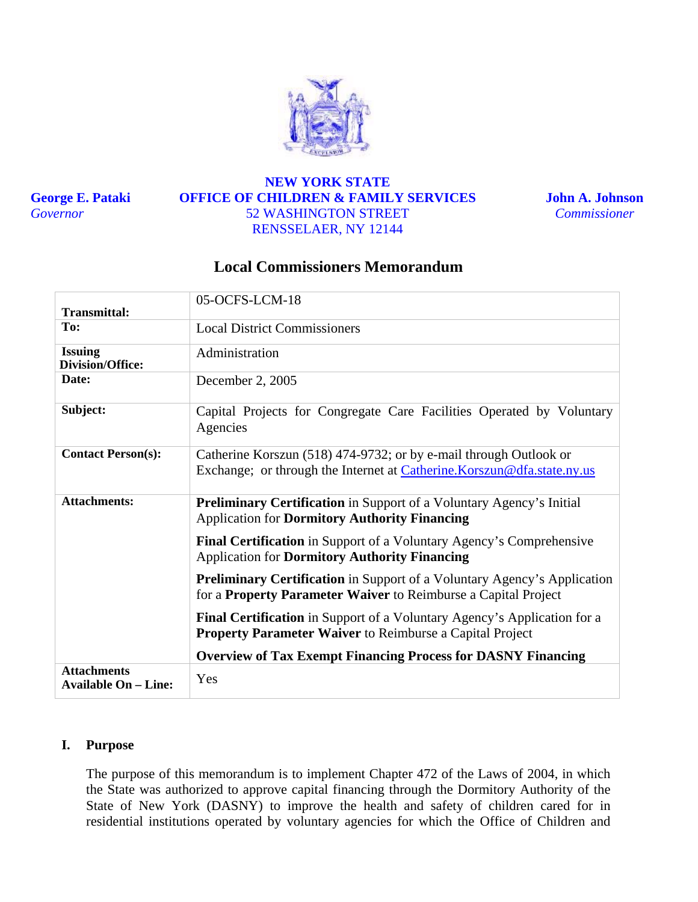

**George E. Pataki**  *Governor* 

## **NEW YORK STATE OFFICE OF CHILDREN & FAMILY SERVICES** 52 WASHINGTON STREET RENSSELAER, NY 12144

**John A. Johnson**  *Commissioner* 

# **Local Commissioners Memorandum**

| <b>Transmittal:</b>                               | 05-OCFS-LCM-18                                                                                                                                    |  |
|---------------------------------------------------|---------------------------------------------------------------------------------------------------------------------------------------------------|--|
| To:                                               | <b>Local District Commissioners</b>                                                                                                               |  |
| <b>Issuing</b><br><b>Division/Office:</b>         | Administration                                                                                                                                    |  |
| Date:                                             | December 2, 2005                                                                                                                                  |  |
| Subject:                                          | Capital Projects for Congregate Care Facilities Operated by Voluntary<br>Agencies                                                                 |  |
| <b>Contact Person(s):</b>                         | Catherine Korszun (518) 474-9732; or by e-mail through Outlook or<br>Exchange; or through the Internet at Catherine. Korszun@dfa.state.ny.us      |  |
| <b>Attachments:</b>                               | <b>Preliminary Certification</b> in Support of a Voluntary Agency's Initial<br><b>Application for Dormitory Authority Financing</b>               |  |
|                                                   | <b>Final Certification</b> in Support of a Voluntary Agency's Comprehensive<br><b>Application for Dormitory Authority Financing</b>               |  |
|                                                   | <b>Preliminary Certification</b> in Support of a Voluntary Agency's Application<br>for a Property Parameter Waiver to Reimburse a Capital Project |  |
|                                                   | <b>Final Certification</b> in Support of a Voluntary Agency's Application for a<br>Property Parameter Waiver to Reimburse a Capital Project       |  |
|                                                   | <b>Overview of Tax Exempt Financing Process for DASNY Financing</b>                                                                               |  |
| <b>Attachments</b><br><b>Available On – Line:</b> | Yes                                                                                                                                               |  |

## **I. Purpose**

The purpose of this memorandum is to implement Chapter 472 of the Laws of 2004, in which the State was authorized to approve capital financing through the Dormitory Authority of the State of New York (DASNY) to improve the health and safety of children cared for in residential institutions operated by voluntary agencies for which the Office of Children and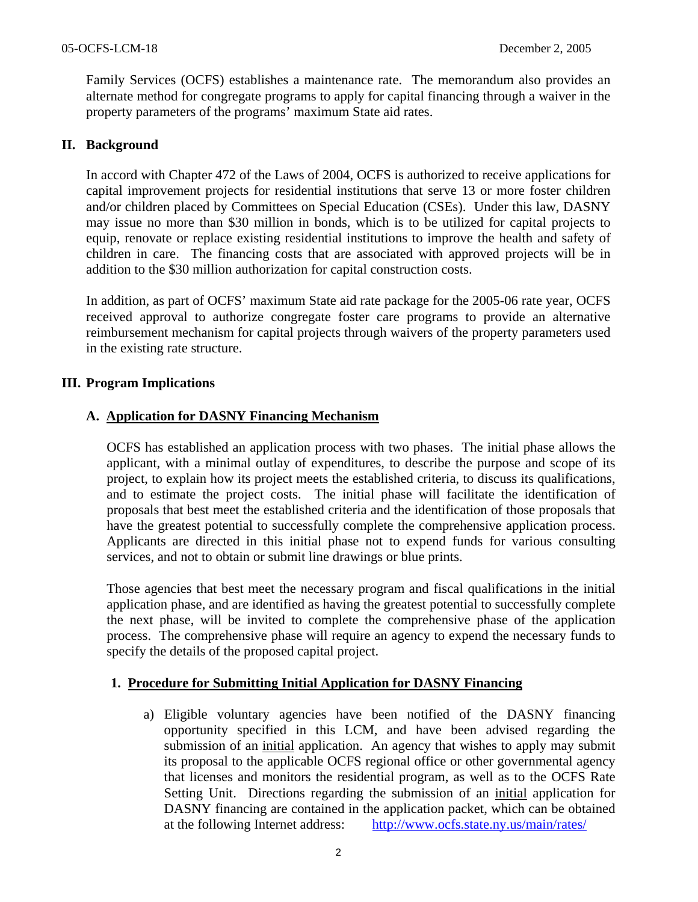Family Services (OCFS) establishes a maintenance rate. The memorandum also provides an alternate method for congregate programs to apply for capital financing through a waiver in the property parameters of the programs' maximum State aid rates.

## **II. Background**

In accord with Chapter 472 of the Laws of 2004, OCFS is authorized to receive applications for capital improvement projects for residential institutions that serve 13 or more foster children and/or children placed by Committees on Special Education (CSEs). Under this law, DASNY may issue no more than \$30 million in bonds, which is to be utilized for capital projects to equip, renovate or replace existing residential institutions to improve the health and safety of children in care. The financing costs that are associated with approved projects will be in addition to the \$30 million authorization for capital construction costs.

In addition, as part of OCFS' maximum State aid rate package for the 2005-06 rate year, OCFS received approval to authorize congregate foster care programs to provide an alternative reimbursement mechanism for capital projects through waivers of the property parameters used in the existing rate structure.

## **III. Program Implications**

## **A. Application for DASNY Financing Mechanism**

OCFS has established an application process with two phases. The initial phase allows the applicant, with a minimal outlay of expenditures, to describe the purpose and scope of its project, to explain how its project meets the established criteria, to discuss its qualifications, and to estimate the project costs. The initial phase will facilitate the identification of proposals that best meet the established criteria and the identification of those proposals that have the greatest potential to successfully complete the comprehensive application process. Applicants are directed in this initial phase not to expend funds for various consulting services, and not to obtain or submit line drawings or blue prints.

Those agencies that best meet the necessary program and fiscal qualifications in the initial application phase, and are identified as having the greatest potential to successfully complete the next phase, will be invited to complete the comprehensive phase of the application process. The comprehensive phase will require an agency to expend the necessary funds to specify the details of the proposed capital project.

## **1. Procedure for Submitting Initial Application for DASNY Financing**

a) Eligible voluntary agencies have been notified of the DASNY financing opportunity specified in this LCM, and have been advised regarding the submission of an initial application. An agency that wishes to apply may submit its proposal to the applicable OCFS regional office or other governmental agency that licenses and monitors the residential program, as well as to the OCFS Rate Setting Unit. Directions regarding the submission of an initial application for DASNY financing are contained in the application packet, which can be obtained at the following Internet address: <http://www.ocfs.state.ny.us/main/rates/>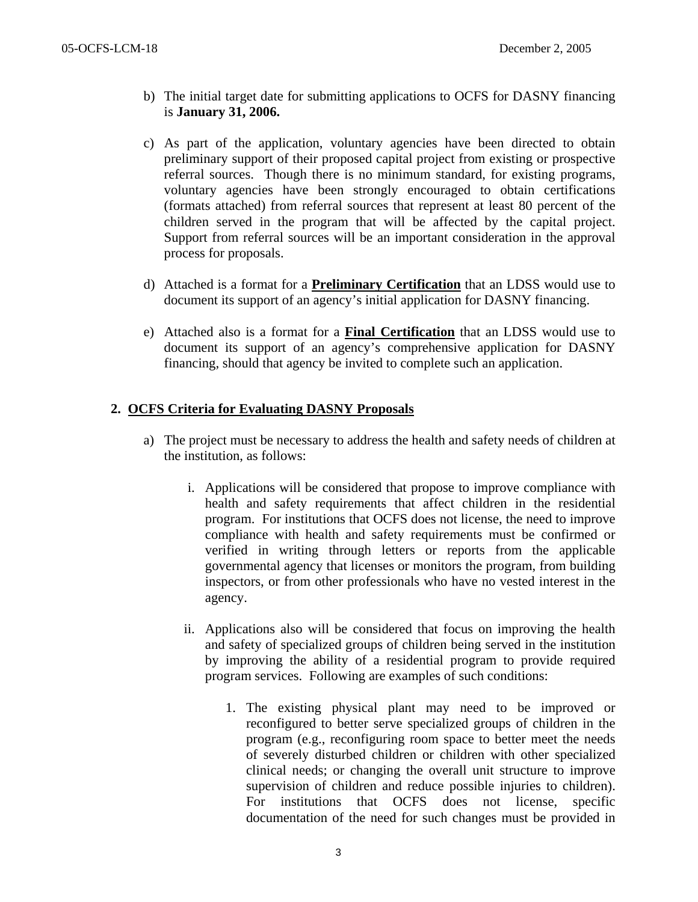- b) The initial target date for submitting applications to OCFS for DASNY financing is **January 31, 2006.**
- c) As part of the application, voluntary agencies have been directed to obtain preliminary support of their proposed capital project from existing or prospective referral sources. Though there is no minimum standard, for existing programs, voluntary agencies have been strongly encouraged to obtain certifications (formats attached) from referral sources that represent at least 80 percent of the children served in the program that will be affected by the capital project. Support from referral sources will be an important consideration in the approval process for proposals.
- d) Attached is a format for a **Preliminary Certification** that an LDSS would use to document its support of an agency's initial application for DASNY financing.
- e) Attached also is a format for a **Final Certification** that an LDSS would use to document its support of an agency's comprehensive application for DASNY financing, should that agency be invited to complete such an application.

## **2. OCFS Criteria for Evaluating DASNY Proposals**

- a) The project must be necessary to address the health and safety needs of children at the institution, as follows:
	- i. Applications will be considered that propose to improve compliance with health and safety requirements that affect children in the residential program. For institutions that OCFS does not license, the need to improve compliance with health and safety requirements must be confirmed or verified in writing through letters or reports from the applicable governmental agency that licenses or monitors the program, from building inspectors, or from other professionals who have no vested interest in the agency.
	- ii. Applications also will be considered that focus on improving the health and safety of specialized groups of children being served in the institution by improving the ability of a residential program to provide required program services. Following are examples of such conditions:
		- 1. The existing physical plant may need to be improved or reconfigured to better serve specialized groups of children in the program (e.g., reconfiguring room space to better meet the needs of severely disturbed children or children with other specialized clinical needs; or changing the overall unit structure to improve supervision of children and reduce possible injuries to children). For institutions that OCFS does not license, specific documentation of the need for such changes must be provided in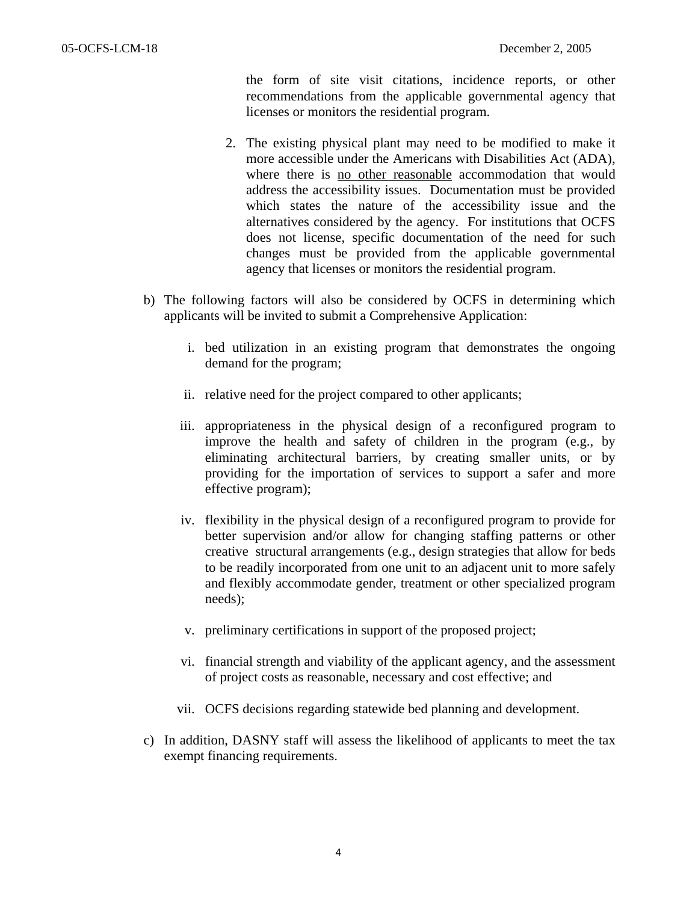the form of site visit citations, incidence reports, or other recommendations from the applicable governmental agency that licenses or monitors the residential program.

- 2. The existing physical plant may need to be modified to make it more accessible under the Americans with Disabilities Act (ADA), where there is no other reasonable accommodation that would address the accessibility issues. Documentation must be provided which states the nature of the accessibility issue and the alternatives considered by the agency. For institutions that OCFS does not license, specific documentation of the need for such changes must be provided from the applicable governmental agency that licenses or monitors the residential program.
- b) The following factors will also be considered by OCFS in determining which applicants will be invited to submit a Comprehensive Application:
	- i. bed utilization in an existing program that demonstrates the ongoing demand for the program;
	- ii. relative need for the project compared to other applicants;
	- iii. appropriateness in the physical design of a reconfigured program to improve the health and safety of children in the program (e.g., by eliminating architectural barriers, by creating smaller units, or by providing for the importation of services to support a safer and more effective program);
	- iv. flexibility in the physical design of a reconfigured program to provide for better supervision and/or allow for changing staffing patterns or other creative structural arrangements (e.g., design strategies that allow for beds to be readily incorporated from one unit to an adjacent unit to more safely and flexibly accommodate gender, treatment or other specialized program needs);
	- v. preliminary certifications in support of the proposed project;
	- vi. financial strength and viability of the applicant agency, and the assessment of project costs as reasonable, necessary and cost effective; and
	- vii. OCFS decisions regarding statewide bed planning and development.
- c) In addition, DASNY staff will assess the likelihood of applicants to meet the tax exempt financing requirements.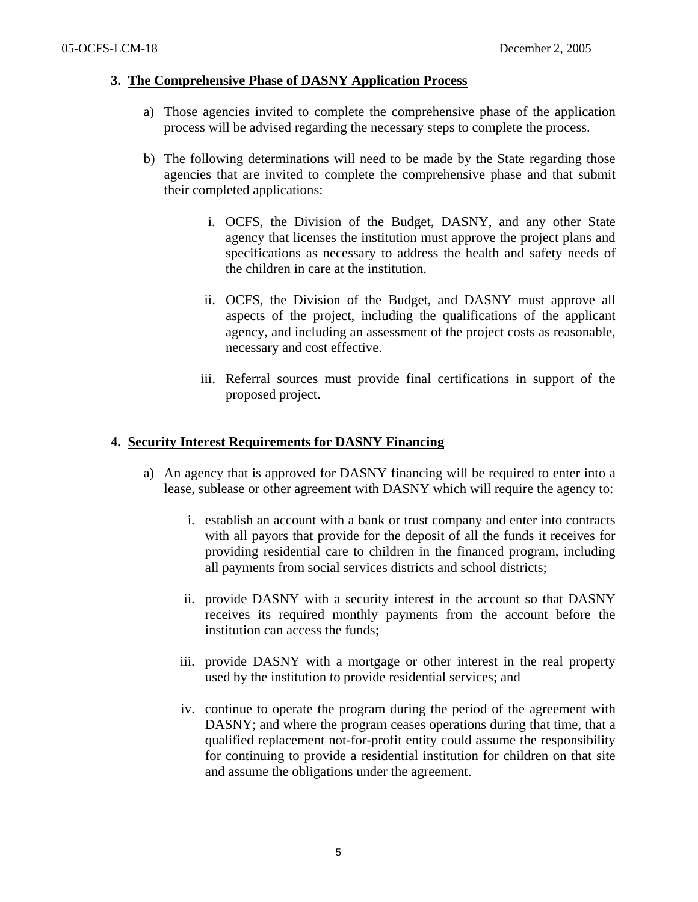## **3. The Comprehensive Phase of DASNY Application Process**

- a) Those agencies invited to complete the comprehensive phase of the application process will be advised regarding the necessary steps to complete the process.
- b) The following determinations will need to be made by the State regarding those agencies that are invited to complete the comprehensive phase and that submit their completed applications:
	- i. OCFS, the Division of the Budget, DASNY, and any other State agency that licenses the institution must approve the project plans and specifications as necessary to address the health and safety needs of the children in care at the institution.
	- ii. OCFS, the Division of the Budget, and DASNY must approve all aspects of the project, including the qualifications of the applicant agency, and including an assessment of the project costs as reasonable, necessary and cost effective.
	- iii. Referral sources must provide final certifications in support of the proposed project.

## **4. Security Interest Requirements for DASNY Financing**

- a) An agency that is approved for DASNY financing will be required to enter into a lease, sublease or other agreement with DASNY which will require the agency to:
	- i. establish an account with a bank or trust company and enter into contracts with all payors that provide for the deposit of all the funds it receives for providing residential care to children in the financed program, including all payments from social services districts and school districts;
	- ii. provide DASNY with a security interest in the account so that DASNY receives its required monthly payments from the account before the institution can access the funds;
	- iii. provide DASNY with a mortgage or other interest in the real property used by the institution to provide residential services; and
	- iv. continue to operate the program during the period of the agreement with DASNY; and where the program ceases operations during that time, that a qualified replacement not-for-profit entity could assume the responsibility for continuing to provide a residential institution for children on that site and assume the obligations under the agreement.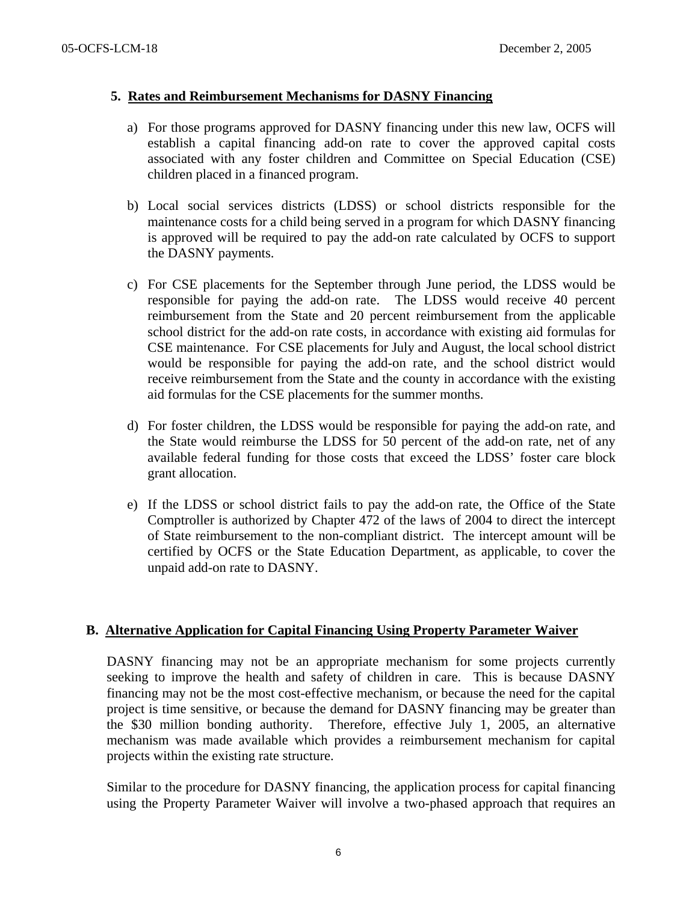### **5. Rates and Reimbursement Mechanisms for DASNY Financing**

- a) For those programs approved for DASNY financing under this new law, OCFS will establish a capital financing add-on rate to cover the approved capital costs associated with any foster children and Committee on Special Education (CSE) children placed in a financed program.
- b) Local social services districts (LDSS) or school districts responsible for the maintenance costs for a child being served in a program for which DASNY financing is approved will be required to pay the add-on rate calculated by OCFS to support the DASNY payments.
- c) For CSE placements for the September through June period, the LDSS would be responsible for paying the add-on rate. The LDSS would receive 40 percent reimbursement from the State and 20 percent reimbursement from the applicable school district for the add-on rate costs, in accordance with existing aid formulas for CSE maintenance. For CSE placements for July and August, the local school district would be responsible for paying the add-on rate, and the school district would receive reimbursement from the State and the county in accordance with the existing aid formulas for the CSE placements for the summer months.
- d) For foster children, the LDSS would be responsible for paying the add-on rate, and the State would reimburse the LDSS for 50 percent of the add-on rate, net of any available federal funding for those costs that exceed the LDSS' foster care block grant allocation.
- e) If the LDSS or school district fails to pay the add-on rate, the Office of the State Comptroller is authorized by Chapter 472 of the laws of 2004 to direct the intercept of State reimbursement to the non-compliant district. The intercept amount will be certified by OCFS or the State Education Department, as applicable, to cover the unpaid add-on rate to DASNY.

## **B. Alternative Application for Capital Financing Using Property Parameter Waiver**

DASNY financing may not be an appropriate mechanism for some projects currently seeking to improve the health and safety of children in care. This is because DASNY financing may not be the most cost-effective mechanism, or because the need for the capital project is time sensitive, or because the demand for DASNY financing may be greater than the \$30 million bonding authority. Therefore, effective July 1, 2005, an alternative mechanism was made available which provides a reimbursement mechanism for capital projects within the existing rate structure.

Similar to the procedure for DASNY financing, the application process for capital financing using the Property Parameter Waiver will involve a two-phased approach that requires an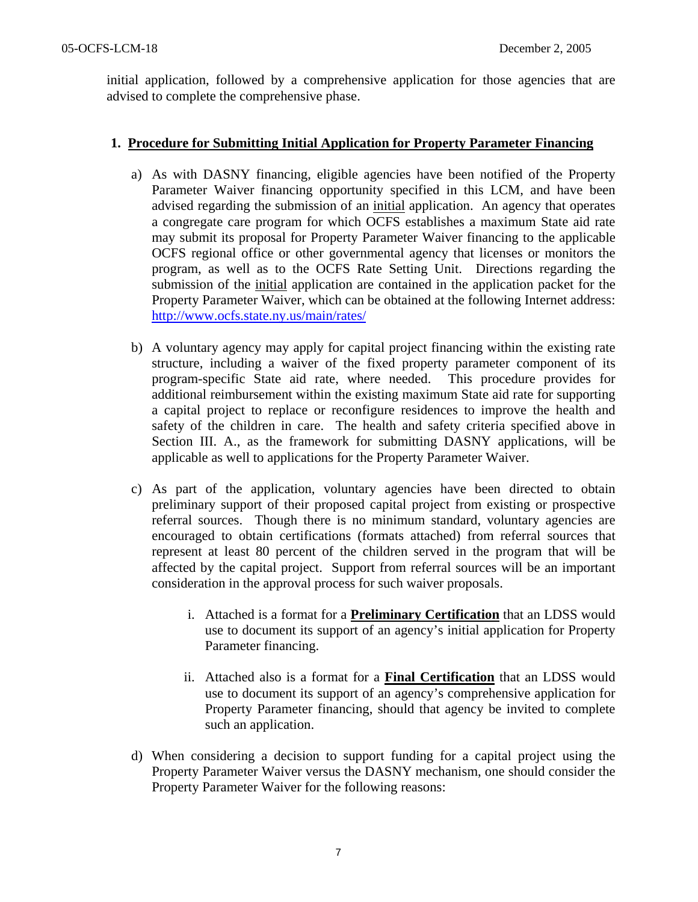initial application, followed by a comprehensive application for those agencies that are advised to complete the comprehensive phase.

## **1. Procedure for Submitting Initial Application for Property Parameter Financing**

- a) As with DASNY financing, eligible agencies have been notified of the Property Parameter Waiver financing opportunity specified in this LCM, and have been advised regarding the submission of an initial application. An agency that operates a congregate care program for which OCFS establishes a maximum State aid rate may submit its proposal for Property Parameter Waiver financing to the applicable OCFS regional office or other governmental agency that licenses or monitors the program, as well as to the OCFS Rate Setting Unit. Directions regarding the submission of the initial application are contained in the application packet for the Property Parameter Waiver, which can be obtained at the following Internet address: <http://www.ocfs.state.ny.us/main/rates/>
- b) A voluntary agency may apply for capital project financing within the existing rate structure, including a waiver of the fixed property parameter component of its program-specific State aid rate, where needed. This procedure provides for additional reimbursement within the existing maximum State aid rate for supporting a capital project to replace or reconfigure residences to improve the health and safety of the children in care. The health and safety criteria specified above in Section III. A., as the framework for submitting DASNY applications, will be applicable as well to applications for the Property Parameter Waiver.
- c) As part of the application, voluntary agencies have been directed to obtain preliminary support of their proposed capital project from existing or prospective referral sources. Though there is no minimum standard, voluntary agencies are encouraged to obtain certifications (formats attached) from referral sources that represent at least 80 percent of the children served in the program that will be affected by the capital project. Support from referral sources will be an important consideration in the approval process for such waiver proposals.
	- i. Attached is a format for a **Preliminary Certification** that an LDSS would use to document its support of an agency's initial application for Property Parameter financing.
	- ii. Attached also is a format for a **Final Certification** that an LDSS would use to document its support of an agency's comprehensive application for Property Parameter financing, should that agency be invited to complete such an application.
- d) When considering a decision to support funding for a capital project using the Property Parameter Waiver versus the DASNY mechanism, one should consider the Property Parameter Waiver for the following reasons: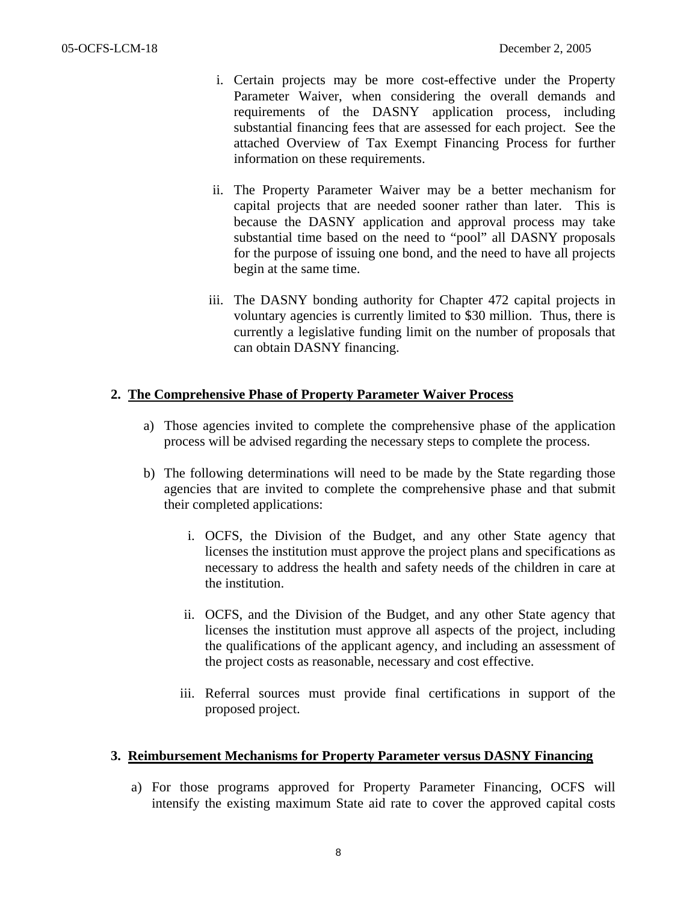- i. Certain projects may be more cost-effective under the Property Parameter Waiver, when considering the overall demands and requirements of the DASNY application process, including substantial financing fees that are assessed for each project. See the attached Overview of Tax Exempt Financing Process for further information on these requirements.
- ii. The Property Parameter Waiver may be a better mechanism for capital projects that are needed sooner rather than later. This is because the DASNY application and approval process may take substantial time based on the need to "pool" all DASNY proposals for the purpose of issuing one bond, and the need to have all projects begin at the same time.
- iii. The DASNY bonding authority for Chapter 472 capital projects in voluntary agencies is currently limited to \$30 million. Thus, there is currently a legislative funding limit on the number of proposals that can obtain DASNY financing.

## **2. The Comprehensive Phase of Property Parameter Waiver Process**

- a) Those agencies invited to complete the comprehensive phase of the application process will be advised regarding the necessary steps to complete the process.
- b) The following determinations will need to be made by the State regarding those agencies that are invited to complete the comprehensive phase and that submit their completed applications:
	- i. OCFS, the Division of the Budget, and any other State agency that licenses the institution must approve the project plans and specifications as necessary to address the health and safety needs of the children in care at the institution.
	- ii. OCFS, and the Division of the Budget, and any other State agency that licenses the institution must approve all aspects of the project, including the qualifications of the applicant agency, and including an assessment of the project costs as reasonable, necessary and cost effective.
	- iii. Referral sources must provide final certifications in support of the proposed project.

#### **3. Reimbursement Mechanisms for Property Parameter versus DASNY Financing**

a) For those programs approved for Property Parameter Financing, OCFS will intensify the existing maximum State aid rate to cover the approved capital costs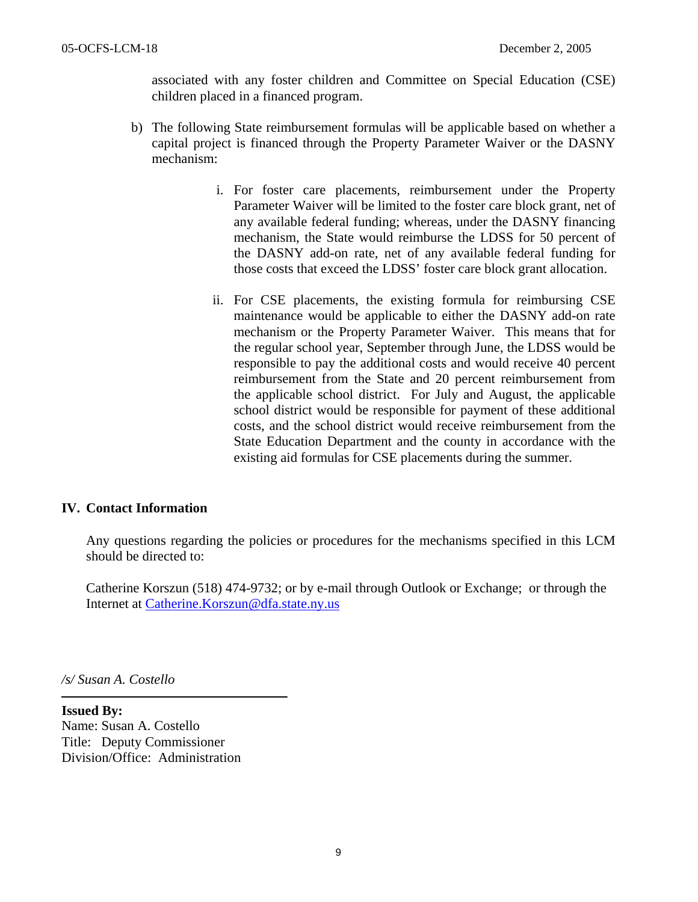associated with any foster children and Committee on Special Education (CSE) children placed in a financed program.

- b) The following State reimbursement formulas will be applicable based on whether a capital project is financed through the Property Parameter Waiver or the DASNY mechanism:
	- i. For foster care placements, reimbursement under the Property Parameter Waiver will be limited to the foster care block grant, net of any available federal funding; whereas, under the DASNY financing mechanism, the State would reimburse the LDSS for 50 percent of the DASNY add-on rate, net of any available federal funding for those costs that exceed the LDSS' foster care block grant allocation.
	- ii. For CSE placements, the existing formula for reimbursing CSE maintenance would be applicable to either the DASNY add-on rate mechanism or the Property Parameter Waiver. This means that for the regular school year, September through June, the LDSS would be responsible to pay the additional costs and would receive 40 percent reimbursement from the State and 20 percent reimbursement from the applicable school district. For July and August, the applicable school district would be responsible for payment of these additional costs, and the school district would receive reimbursement from the State Education Department and the county in accordance with the existing aid formulas for CSE placements during the summer.

## **IV. Contact Information**

Any questions regarding the policies or procedures for the mechanisms specified in this LCM should be directed to:

Catherine Korszun (518) 474-9732; or by e-mail through Outlook or Exchange; or through the Internet at [Catherine.Korszun@dfa.state.ny.us](mailto:Catherine.Korszun@dfa.state.ny.us)

*/s/ Susan A. Costello* 

 $\overline{\phantom{a}}$ 

**Issued By:**  Name: Susan A. Costello Title: Deputy Commissioner Division/Office: Administration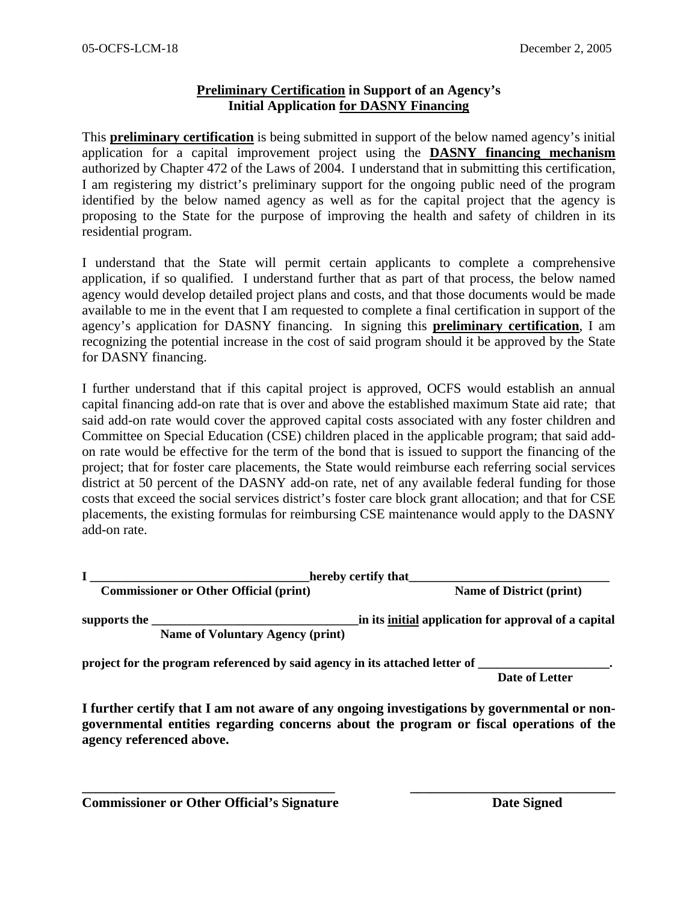## **Preliminary Certification in Support of an Agency's Initial Application for DASNY Financing**

This **preliminary certification** is being submitted in support of the below named agency's initial application for a capital improvement project using the **DASNY financing mechanism** authorized by Chapter 472 of the Laws of 2004. I understand that in submitting this certification, I am registering my district's preliminary support for the ongoing public need of the program identified by the below named agency as well as for the capital project that the agency is proposing to the State for the purpose of improving the health and safety of children in its residential program.

I understand that the State will permit certain applicants to complete a comprehensive application, if so qualified. I understand further that as part of that process, the below named agency would develop detailed project plans and costs, and that those documents would be made available to me in the event that I am requested to complete a final certification in support of the agency's application for DASNY financing. In signing this **preliminary certification**, I am recognizing the potential increase in the cost of said program should it be approved by the State for DASNY financing.

I further understand that if this capital project is approved, OCFS would establish an annual capital financing add-on rate that is over and above the established maximum State aid rate; that said add-on rate would cover the approved capital costs associated with any foster children and Committee on Special Education (CSE) children placed in the applicable program; that said addon rate would be effective for the term of the bond that is issued to support the financing of the project; that for foster care placements, the State would reimburse each referring social services district at 50 percent of the DASNY add-on rate, net of any available federal funding for those costs that exceed the social services district's foster care block grant allocation; and that for CSE placements, the existing formulas for reimbursing CSE maintenance would apply to the DASNY add-on rate.

|                                               | hereby certify that                     |                                                      |  |
|-----------------------------------------------|-----------------------------------------|------------------------------------------------------|--|
| <b>Commissioner or Other Official (print)</b> |                                         | <b>Name of District (print)</b>                      |  |
| supports the                                  | <b>Name of Voluntary Agency (print)</b> | in its initial application for approval of a capital |  |

**project for the program referenced by said agency in its attached letter of \_\_\_\_\_\_\_\_\_\_\_\_\_\_\_\_\_\_\_\_\_.** 

 **Date of Letter** 

**I further certify that I am not aware of any ongoing investigations by governmental or nongovernmental entities regarding concerns about the program or fiscal operations of the agency referenced above.** 

**\_\_\_\_\_\_\_\_\_\_\_\_\_\_\_\_\_\_\_\_\_\_\_\_\_\_\_\_\_\_\_\_\_\_\_\_\_ \_\_\_\_\_\_\_\_\_\_\_\_\_\_\_\_\_\_\_\_\_\_\_\_\_\_\_\_\_\_** 

**Commissioner or Other Official's Signature Date Signed Date Signed**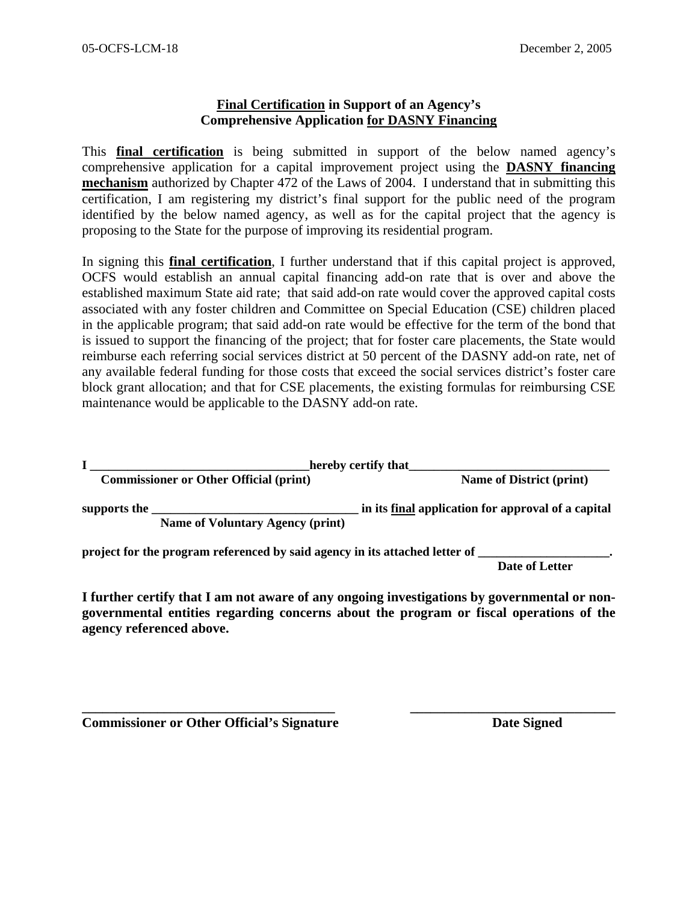### **Final Certification in Support of an Agency's Comprehensive Application for DASNY Financing**

This **final certification** is being submitted in support of the below named agency's comprehensive application for a capital improvement project using the **DASNY financing mechanism** authorized by Chapter 472 of the Laws of 2004. I understand that in submitting this certification, I am registering my district's final support for the public need of the program identified by the below named agency, as well as for the capital project that the agency is proposing to the State for the purpose of improving its residential program.

In signing this **final certification**, I further understand that if this capital project is approved, OCFS would establish an annual capital financing add-on rate that is over and above the established maximum State aid rate; that said add-on rate would cover the approved capital costs associated with any foster children and Committee on Special Education (CSE) children placed in the applicable program; that said add-on rate would be effective for the term of the bond that is issued to support the financing of the project; that for foster care placements, the State would reimburse each referring social services district at 50 percent of the DASNY add-on rate, net of any available federal funding for those costs that exceed the social services district's foster care block grant allocation; and that for CSE placements, the existing formulas for reimbursing CSE maintenance would be applicable to the DASNY add-on rate.

|                                               | hereby certify that                     |                                                    |  |
|-----------------------------------------------|-----------------------------------------|----------------------------------------------------|--|
| <b>Commissioner or Other Official (print)</b> |                                         | <b>Name of District (print)</b>                    |  |
| supports the                                  |                                         | in its final application for approval of a capital |  |
|                                               | <b>Name of Voluntary Agency (print)</b> |                                                    |  |

project for the program referenced by said agency in its attached letter of

 **Date of Letter** 

**I further certify that I am not aware of any ongoing investigations by governmental or nongovernmental entities regarding concerns about the program or fiscal operations of the agency referenced above.** 

**\_\_\_\_\_\_\_\_\_\_\_\_\_\_\_\_\_\_\_\_\_\_\_\_\_\_\_\_\_\_\_\_\_\_\_\_\_ \_\_\_\_\_\_\_\_\_\_\_\_\_\_\_\_\_\_\_\_\_\_\_\_\_\_\_\_\_\_** 

**Commissioner or Other Official's Signature**  Date Signed **Date Signed**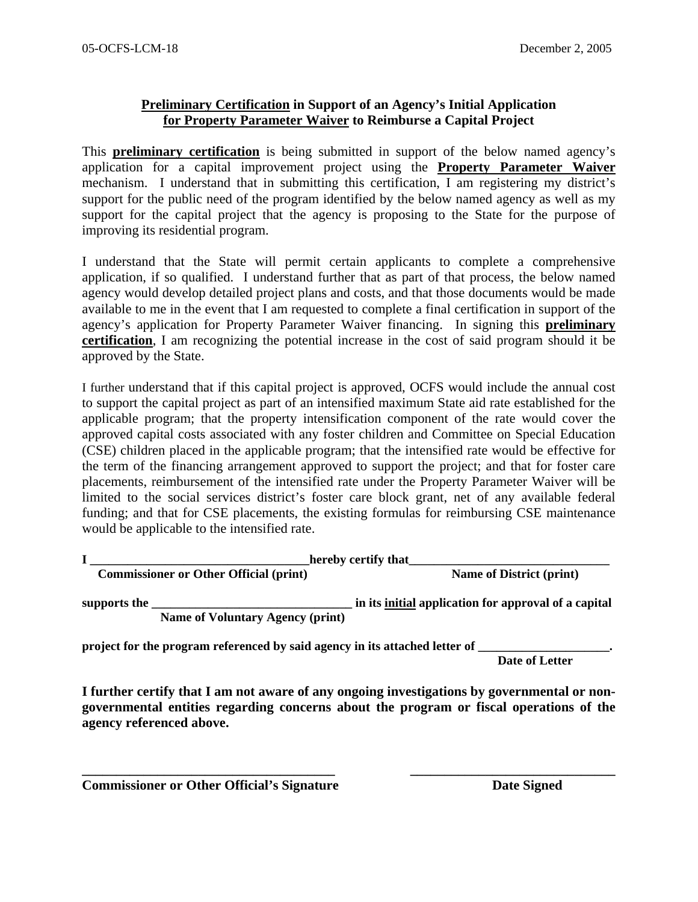## **Preliminary Certification in Support of an Agency's Initial Application for Property Parameter Waiver to Reimburse a Capital Project**

This **preliminary certification** is being submitted in support of the below named agency's application for a capital improvement project using the **Property Parameter Waiver** mechanism. I understand that in submitting this certification, I am registering my district's support for the public need of the program identified by the below named agency as well as my support for the capital project that the agency is proposing to the State for the purpose of improving its residential program.

I understand that the State will permit certain applicants to complete a comprehensive application, if so qualified. I understand further that as part of that process, the below named agency would develop detailed project plans and costs, and that those documents would be made available to me in the event that I am requested to complete a final certification in support of the agency's application for Property Parameter Waiver financing. In signing this **preliminary certification**, I am recognizing the potential increase in the cost of said program should it be approved by the State.

I further understand that if this capital project is approved, OCFS would include the annual cost to support the capital project as part of an intensified maximum State aid rate established for the applicable program; that the property intensification component of the rate would cover the approved capital costs associated with any foster children and Committee on Special Education (CSE) children placed in the applicable program; that the intensified rate would be effective for the term of the financing arrangement approved to support the project; and that for foster care placements, reimbursement of the intensified rate under the Property Parameter Waiver will be limited to the social services district's foster care block grant, net of any available federal funding; and that for CSE placements, the existing formulas for reimbursing CSE maintenance would be applicable to the intensified rate.

| hereby certify that                           |                                         |                                                      |  |
|-----------------------------------------------|-----------------------------------------|------------------------------------------------------|--|
| <b>Commissioner or Other Official (print)</b> |                                         | <b>Name of District (print)</b>                      |  |
| supports the                                  | <b>Name of Voluntary Agency (print)</b> | in its initial application for approval of a capital |  |

**project for the program referenced by said agency in its attached letter of** 

 **Date of Letter** 

**I further certify that I am not aware of any ongoing investigations by governmental or nongovernmental entities regarding concerns about the program or fiscal operations of the agency referenced above.** 

**\_\_\_\_\_\_\_\_\_\_\_\_\_\_\_\_\_\_\_\_\_\_\_\_\_\_\_\_\_\_\_\_\_\_\_\_\_ \_\_\_\_\_\_\_\_\_\_\_\_\_\_\_\_\_\_\_\_\_\_\_\_\_\_\_\_\_\_** 

**Commissioner or Other Official's Signature Date Signed Date Signed**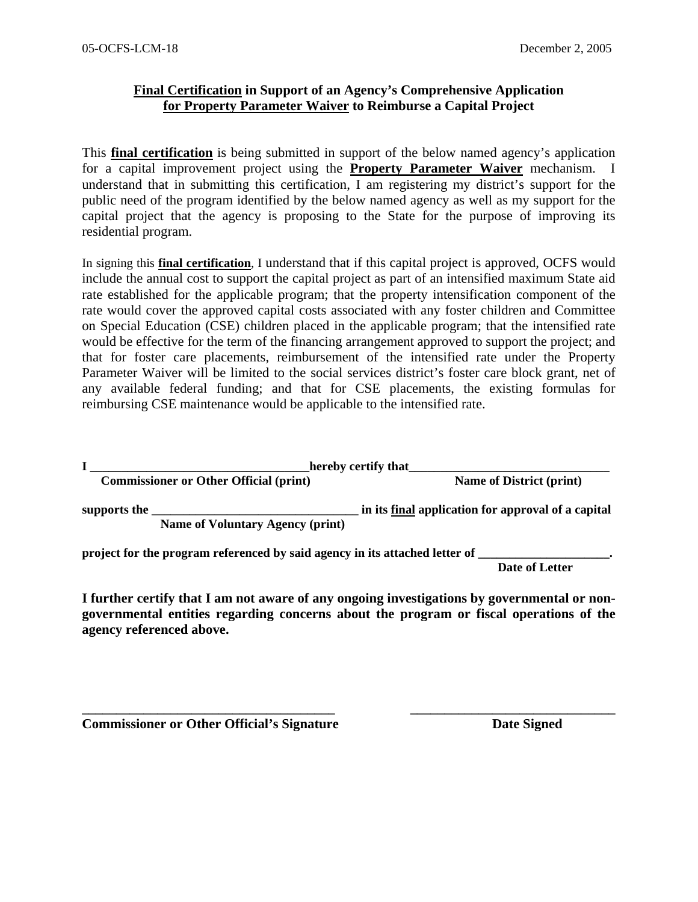## **Final Certification in Support of an Agency's Comprehensive Application for Property Parameter Waiver to Reimburse a Capital Project**

This **final certification** is being submitted in support of the below named agency's application for a capital improvement project using the **Property Parameter Waiver** mechanism. I understand that in submitting this certification, I am registering my district's support for the public need of the program identified by the below named agency as well as my support for the capital project that the agency is proposing to the State for the purpose of improving its residential program.

In signing this **final certification**, I understand that if this capital project is approved, OCFS would include the annual cost to support the capital project as part of an intensified maximum State aid rate established for the applicable program; that the property intensification component of the rate would cover the approved capital costs associated with any foster children and Committee on Special Education (CSE) children placed in the applicable program; that the intensified rate would be effective for the term of the financing arrangement approved to support the project; and that for foster care placements, reimbursement of the intensified rate under the Property Parameter Waiver will be limited to the social services district's foster care block grant, net of any available federal funding; and that for CSE placements, the existing formulas for reimbursing CSE maintenance would be applicable to the intensified rate.

|                                               | hereby certify that                                                         |                                                    |  |  |  |
|-----------------------------------------------|-----------------------------------------------------------------------------|----------------------------------------------------|--|--|--|
| <b>Commissioner or Other Official (print)</b> |                                                                             | <b>Name of District (print)</b>                    |  |  |  |
| supports the                                  | <b>Name of Voluntary Agency (print)</b>                                     | in its final application for approval of a capital |  |  |  |
|                                               | project for the program referenced by said agency in its attached letter of |                                                    |  |  |  |

 **Date of Letter** 

**I further certify that I am not aware of any ongoing investigations by governmental or nongovernmental entities regarding concerns about the program or fiscal operations of the agency referenced above.** 

**\_\_\_\_\_\_\_\_\_\_\_\_\_\_\_\_\_\_\_\_\_\_\_\_\_\_\_\_\_\_\_\_\_\_\_\_\_ \_\_\_\_\_\_\_\_\_\_\_\_\_\_\_\_\_\_\_\_\_\_\_\_\_\_\_\_\_\_** 

**Commissioner or Other Official's Signature Date Signed Date Signed**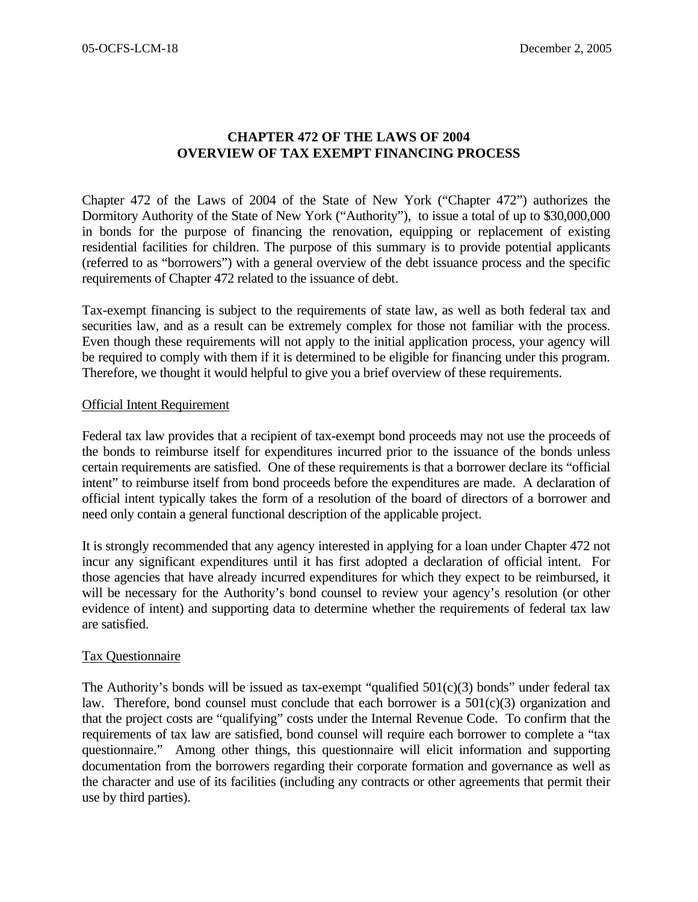## **CHAPTER 472 OF THE LAWS OF 2004 OVERVIEW OF TAX EXEMPT FINANCING PROCESS**

Chapter 472 of the Laws of 2004 of the State of New York ("Chapter 472") authorizes the Dormitory Authority of the State of New York ("Authority"), to issue a total of up to \$30,000,000 in bonds for the purpose of financing the renovation, equipping or replacement of existing residential facilities for children. The purpose of this summary is to provide potential applicants (referred to as "borrowers") with a general overview of the debt issuance process and the specific requirements of Chapter 472 related to the issuance of debt.

Tax-exempt financing is subject to the requirements of state law, as well as both federal tax and securities law, and as a result can be extremely complex for those not familiar with the process. Even though these requirements will not apply to the initial application process, your agency will be required to comply with them if it is determined to be eligible for financing under this program. Therefore, we thought it would helpful to give you a brief overview of these requirements.

#### Official Intent Requirement

Federal tax law provides that a recipient of tax-exempt bond proceeds may not use the proceeds of the bonds to reimburse itself for expenditures incurred prior to the issuance of the bonds unless certain requirements are satisfied. One of these requirements is that a borrower declare its "official intent" to reimburse itself from bond proceeds before the expenditures are made. A declaration of official intent typically takes the form of a resolution of the board of directors of a borrower and need only contain a general functional description of the applicable project.

It is strongly recommended that any agency interested in applying for a loan under Chapter 472 not incur any significant expenditures until it has first adopted a declaration of official intent. For those agencies that have already incurred expenditures for which they expect to be reimbursed, it will be necessary for the Authority's bond counsel to review your agency's resolution (or other evidence of intent) and supporting data to determine whether the requirements of federal tax law are satisfied.

#### Tax Questionnaire

The Authority's bonds will be issued as tax-exempt "qualified  $501(c)(3)$  bonds" under federal tax law. Therefore, bond counsel must conclude that each borrower is a  $501(c)(3)$  organization and that the project costs are "qualifying" costs under the Internal Revenue Code. To confirm that the requirements of tax law are satisfied, bond counsel will require each borrower to complete a "tax questionnaire." Among other things, this questionnaire will elicit information and supporting documentation from the borrowers regarding their corporate formation and governance as well as the character and use of its facilities (including any contracts or other agreements that permit their use by third parties).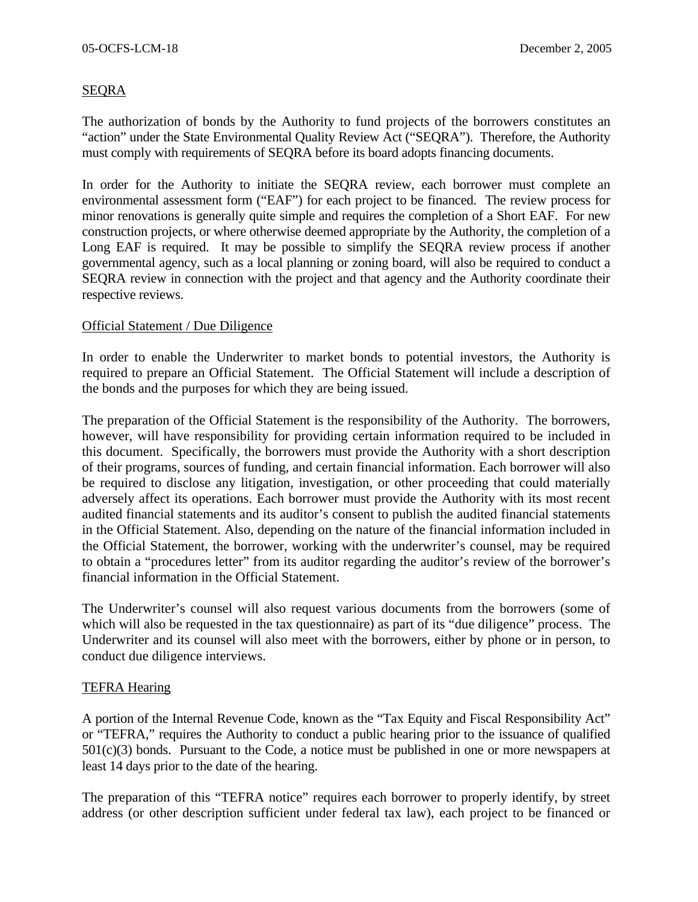## SEQRA

The authorization of bonds by the Authority to fund projects of the borrowers constitutes an "action" under the State Environmental Quality Review Act ("SEQRA"). Therefore, the Authority must comply with requirements of SEQRA before its board adopts financing documents.

In order for the Authority to initiate the SEQRA review, each borrower must complete an environmental assessment form ("EAF") for each project to be financed. The review process for minor renovations is generally quite simple and requires the completion of a Short EAF. For new construction projects, or where otherwise deemed appropriate by the Authority, the completion of a Long EAF is required. It may be possible to simplify the SEQRA review process if another governmental agency, such as a local planning or zoning board, will also be required to conduct a SEQRA review in connection with the project and that agency and the Authority coordinate their respective reviews.

#### Official Statement / Due Diligence

In order to enable the Underwriter to market bonds to potential investors, the Authority is required to prepare an Official Statement. The Official Statement will include a description of the bonds and the purposes for which they are being issued.

The preparation of the Official Statement is the responsibility of the Authority. The borrowers, however, will have responsibility for providing certain information required to be included in this document. Specifically, the borrowers must provide the Authority with a short description of their programs, sources of funding, and certain financial information. Each borrower will also be required to disclose any litigation, investigation, or other proceeding that could materially adversely affect its operations. Each borrower must provide the Authority with its most recent audited financial statements and its auditor's consent to publish the audited financial statements in the Official Statement. Also, depending on the nature of the financial information included in the Official Statement, the borrower, working with the underwriter's counsel, may be required to obtain a "procedures letter" from its auditor regarding the auditor's review of the borrower's financial information in the Official Statement.

The Underwriter's counsel will also request various documents from the borrowers (some of which will also be requested in the tax questionnaire) as part of its "due diligence" process. The Underwriter and its counsel will also meet with the borrowers, either by phone or in person, to conduct due diligence interviews.

## TEFRA Hearing

A portion of the Internal Revenue Code, known as the "Tax Equity and Fiscal Responsibility Act" or "TEFRA," requires the Authority to conduct a public hearing prior to the issuance of qualified  $501(c)(3)$  bonds. Pursuant to the Code, a notice must be published in one or more newspapers at least 14 days prior to the date of the hearing.

The preparation of this "TEFRA notice" requires each borrower to properly identify, by street address (or other description sufficient under federal tax law), each project to be financed or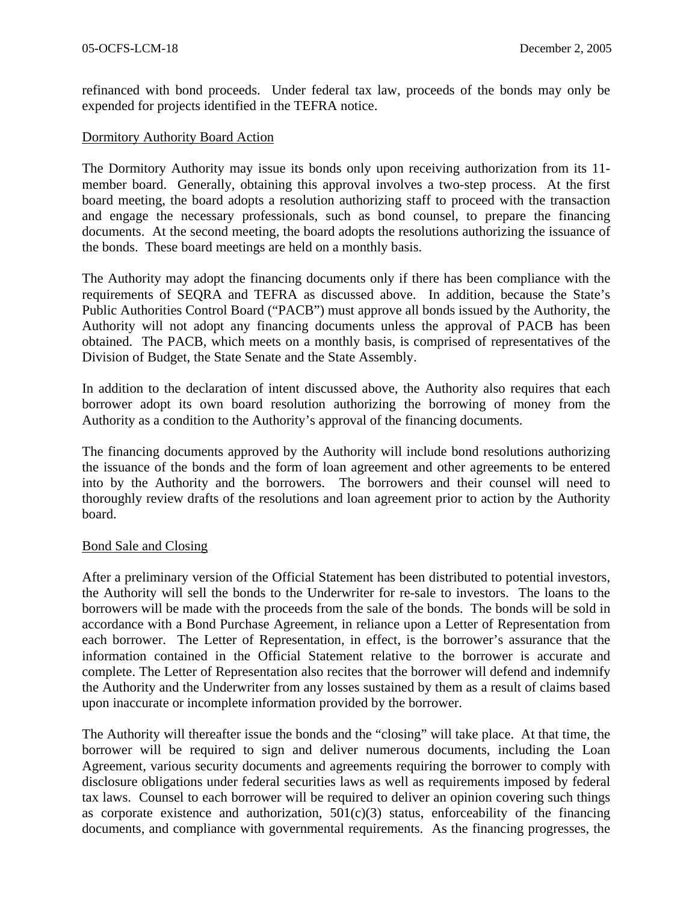refinanced with bond proceeds. Under federal tax law, proceeds of the bonds may only be expended for projects identified in the TEFRA notice.

#### Dormitory Authority Board Action

The Dormitory Authority may issue its bonds only upon receiving authorization from its 11 member board. Generally, obtaining this approval involves a two-step process. At the first board meeting, the board adopts a resolution authorizing staff to proceed with the transaction and engage the necessary professionals, such as bond counsel, to prepare the financing documents. At the second meeting, the board adopts the resolutions authorizing the issuance of the bonds. These board meetings are held on a monthly basis.

The Authority may adopt the financing documents only if there has been compliance with the requirements of SEQRA and TEFRA as discussed above. In addition, because the State's Public Authorities Control Board ("PACB") must approve all bonds issued by the Authority, the Authority will not adopt any financing documents unless the approval of PACB has been obtained. The PACB, which meets on a monthly basis, is comprised of representatives of the Division of Budget, the State Senate and the State Assembly.

In addition to the declaration of intent discussed above, the Authority also requires that each borrower adopt its own board resolution authorizing the borrowing of money from the Authority as a condition to the Authority's approval of the financing documents.

The financing documents approved by the Authority will include bond resolutions authorizing the issuance of the bonds and the form of loan agreement and other agreements to be entered into by the Authority and the borrowers. The borrowers and their counsel will need to thoroughly review drafts of the resolutions and loan agreement prior to action by the Authority board.

#### Bond Sale and Closing

After a preliminary version of the Official Statement has been distributed to potential investors, the Authority will sell the bonds to the Underwriter for re-sale to investors. The loans to the borrowers will be made with the proceeds from the sale of the bonds. The bonds will be sold in accordance with a Bond Purchase Agreement, in reliance upon a Letter of Representation from each borrower. The Letter of Representation, in effect, is the borrower's assurance that the information contained in the Official Statement relative to the borrower is accurate and complete. The Letter of Representation also recites that the borrower will defend and indemnify the Authority and the Underwriter from any losses sustained by them as a result of claims based upon inaccurate or incomplete information provided by the borrower.

The Authority will thereafter issue the bonds and the "closing" will take place. At that time, the borrower will be required to sign and deliver numerous documents, including the Loan Agreement, various security documents and agreements requiring the borrower to comply with disclosure obligations under federal securities laws as well as requirements imposed by federal tax laws. Counsel to each borrower will be required to deliver an opinion covering such things as corporate existence and authorization,  $501(c)(3)$  status, enforceability of the financing documents, and compliance with governmental requirements. As the financing progresses, the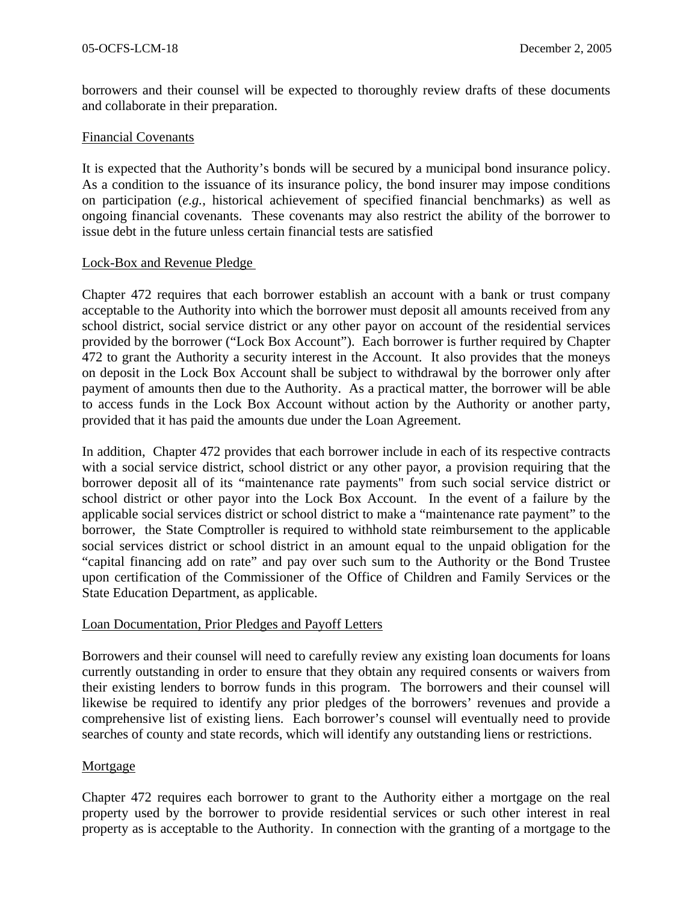borrowers and their counsel will be expected to thoroughly review drafts of these documents and collaborate in their preparation.

#### Financial Covenants

It is expected that the Authority's bonds will be secured by a municipal bond insurance policy. As a condition to the issuance of its insurance policy, the bond insurer may impose conditions on participation (*e.g.*, historical achievement of specified financial benchmarks) as well as ongoing financial covenants. These covenants may also restrict the ability of the borrower to issue debt in the future unless certain financial tests are satisfied

#### Lock-Box and Revenue Pledge

Chapter 472 requires that each borrower establish an account with a bank or trust company acceptable to the Authority into which the borrower must deposit all amounts received from any school district, social service district or any other payor on account of the residential services provided by the borrower ("Lock Box Account"). Each borrower is further required by Chapter 472 to grant the Authority a security interest in the Account. It also provides that the moneys on deposit in the Lock Box Account shall be subject to withdrawal by the borrower only after payment of amounts then due to the Authority. As a practical matter, the borrower will be able to access funds in the Lock Box Account without action by the Authority or another party, provided that it has paid the amounts due under the Loan Agreement.

In addition, Chapter 472 provides that each borrower include in each of its respective contracts with a social service district, school district or any other payor, a provision requiring that the borrower deposit all of its "maintenance rate payments" from such social service district or school district or other payor into the Lock Box Account. In the event of a failure by the applicable social services district or school district to make a "maintenance rate payment" to the borrower, the State Comptroller is required to withhold state reimbursement to the applicable social services district or school district in an amount equal to the unpaid obligation for the "capital financing add on rate" and pay over such sum to the Authority or the Bond Trustee upon certification of the Commissioner of the Office of Children and Family Services or the State Education Department, as applicable.

## Loan Documentation, Prior Pledges and Payoff Letters

Borrowers and their counsel will need to carefully review any existing loan documents for loans currently outstanding in order to ensure that they obtain any required consents or waivers from their existing lenders to borrow funds in this program. The borrowers and their counsel will likewise be required to identify any prior pledges of the borrowers' revenues and provide a comprehensive list of existing liens. Each borrower's counsel will eventually need to provide searches of county and state records, which will identify any outstanding liens or restrictions.

## Mortgage

Chapter 472 requires each borrower to grant to the Authority either a mortgage on the real property used by the borrower to provide residential services or such other interest in real property as is acceptable to the Authority. In connection with the granting of a mortgage to the